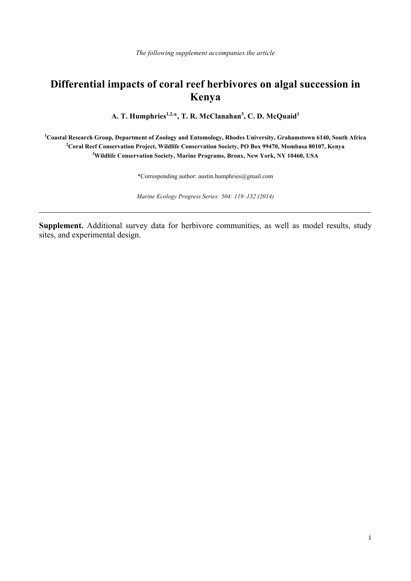## **Differential impacts of coral reef herbivores on algal succession in Kenya**

**A. T. Humphries1,2,**\***, T. R. McClanahan<sup>3</sup> , C. D. McQuaid<sup>1</sup>**

**1 Coastal Research Group, Department of Zoology and Entomology, Rhodes University, Grahamstown 6140, South Africa 2 Coral Reef Conservation Project, Wildlife Conservation Society, PO Box 99470, Mombasa 80107, Kenya 3 Wildlife Conservation Society, Marine Programs, Bronx, New York, NY 10460, USA**

\*Corresponding author: austin.humphries@gmail.com

*Marine Ecology Progress Series: 504: 119–132 (2014)*

**Supplement.** Additional survey data for herbivore communities, as well as model results, study sites, and experimental design.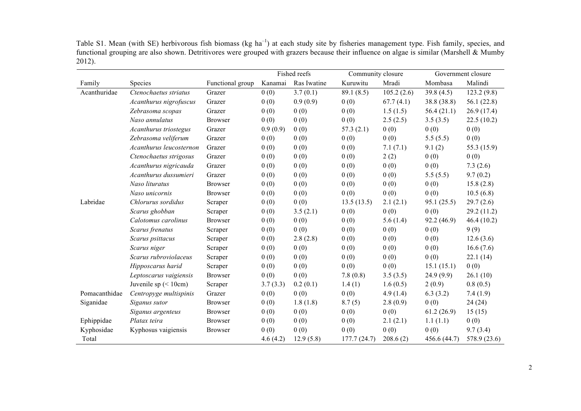Table S1. Mean (with SE) herbivorous fish biomass (kg ha<sup>-1</sup>) at each study site by fisheries management type. Fish family, species, and functional grouping are also shown. Detritivores were grouped with grazers because their influence on algae is similar (Marshell & Mumby 2012).

|               |                         |                  |          | Fished reefs | Community closure |            | Government closure |              |
|---------------|-------------------------|------------------|----------|--------------|-------------------|------------|--------------------|--------------|
| Family        | Species                 | Functional group | Kanamai  | Ras Iwatine  | Kuruwitu          | Mradi      | Mombasa            | Malindi      |
| Acanthuridae  | Ctenochaetus striatus   | Grazer           | 0(0)     | 3.7(0.1)     | 89.1(8.5)         | 105.2(2.6) | 39.8(4.5)          | 123.2(9.8)   |
|               | Acanthurus nigrofuscus  | Grazer           | 0(0)     | 0.9(0.9)     | 0(0)              | 67.7(4.1)  | 38.8 (38.8)        | 56.1(22.8)   |
|               | Zebrasoma scopas        | Grazer           | 0(0)     | 0(0)         | 0(0)              | 1.5(1.5)   | 56.4(21.1)         | 26.9(17.4)   |
|               | Naso annulatus          | <b>Browser</b>   | 0(0)     | 0(0)         | 0(0)              | 2.5(2.5)   | 3.5(3.5)           | 22.5(10.2)   |
|               | Acanthurus triostegus   | Grazer           | 0.9(0.9) | 0(0)         | 57.3(2.1)         | 0(0)       | 0(0)               | 0(0)         |
|               | Zebrasoma veliferum     | Grazer           | 0(0)     | 0(0)         | 0(0)              | 0(0)       | 5.5(5.5)           | 0(0)         |
|               | Acanthurus leucosternon | Grazer           | 0(0)     | 0(0)         | 0(0)              | 7.1(7.1)   | 9.1(2)             | 55.3 (15.9)  |
|               | Ctenochaetus strigosus  | Grazer           | 0(0)     | 0(0)         | 0(0)              | 2(2)       | 0(0)               | 0(0)         |
|               | Acanthurus nigricauda   | Grazer           | 0(0)     | 0(0)         | 0(0)              | 0(0)       | 0(0)               | 7.3(2.6)     |
|               | Acanthurus dussumieri   | Grazer           | 0(0)     | 0(0)         | 0(0)              | 0(0)       | 5.5(5.5)           | 9.7(0.2)     |
|               | Naso lituratus          | <b>Browser</b>   | 0(0)     | 0(0)         | 0(0)              | 0(0)       | 0(0)               | 15.8(2.8)    |
|               | Naso unicornis          | <b>Browser</b>   | 0(0)     | 0(0)         | 0(0)              | 0(0)       | 0(0)               | 10.5(6.8)    |
| Labridae      | Chlorurus sordidus      | Scraper          | 0(0)     | 0(0)         | 13.5(13.5)        | 2.1(2.1)   | 95.1(25.5)         | 29.7(2.6)    |
|               | Scarus ghobban          | Scraper          | 0(0)     | 3.5(2.1)     | 0(0)              | 0(0)       | 0(0)               | 29.2 (11.2)  |
|               | Calotomus carolinus     | <b>Browser</b>   | 0(0)     | 0(0)         | 0(0)              | 5.6(1.4)   | 92.2(46.9)         | 46.4(10.2)   |
|               | Scarus frenatus         | Scraper          | 0(0)     | 0(0)         | 0(0)              | 0(0)       | 0(0)               | 9(9)         |
|               | Scarus psittacus        | Scraper          | 0(0)     | 2.8(2.8)     | 0(0)              | 0(0)       | 0(0)               | 12.6(3.6)    |
|               | Scarus niger            | Scraper          | 0(0)     | 0(0)         | 0(0)              | 0(0)       | 0(0)               | 16.6(7.6)    |
|               | Scarus rubroviolaceus   | Scraper          | 0(0)     | 0(0)         | 0(0)              | 0(0)       | 0(0)               | 22.1(14)     |
|               | Hipposcarus harid       | Scraper          | 0(0)     | 0(0)         | 0(0)              | 0(0)       | 15.1(15.1)         | 0(0)         |
|               | Leptoscarus vaigiensis  | <b>Browser</b>   | 0(0)     | 0(0)         | 7.8(0.8)          | 3.5(3.5)   | 24.9(9.9)          | 26.1(10)     |
|               | Juvenile sp $(< 10cm)$  | Scraper          | 3.7(3.3) | 0.2(0.1)     | 1.4(1)            | 1.6(0.5)   | 2(0.9)             | 0.8(0.5)     |
| Pomacanthidae | Centropyge multispinis  | Grazer           | 0(0)     | 0(0)         | 0(0)              | 4.9(1.4)   | 6.3(3.2)           | 7.4(1.9)     |
| Siganidae     | Siganus sutor           | <b>Browser</b>   | 0(0)     | 1.8(1.8)     | 8.7(5)            | 2.8(0.9)   | 0(0)               | 24(24)       |
|               | Siganus argenteus       | <b>Browser</b>   | 0(0)     | 0(0)         | 0(0)              | 0(0)       | 61.2(26.9)         | 15(15)       |
| Ephippidae    | Platax teira            | <b>Browser</b>   | 0(0)     | 0(0)         | 0(0)              | 2.1(2.1)   | 1.1(1.1)           | 0(0)         |
| Kyphosidae    | Kyphosus vaigiensis     | <b>Browser</b>   | 0(0)     | 0(0)         | 0(0)              | 0(0)       | 0(0)               | 9.7(3.4)     |
| Total         |                         |                  | 4.6(4.2) | 12.9(5.8)    | 177.7(24.7)       | 208.6(2)   | 456.6 (44.7)       | 578.9 (23.6) |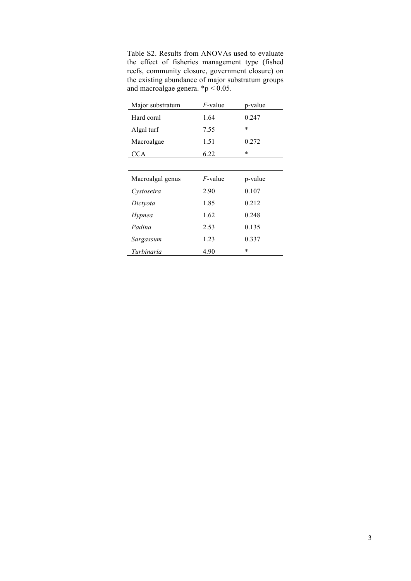Table S2. Results from ANOVAs used to evaluate the effect of fisheries management type (fished reefs, community closure, government closure) on the existing abundance of major substratum groups and macroalgae genera.  $\mathbf{\hat{p}}$  < 0.05.

| Major substratum | $F$ -value | p-value |
|------------------|------------|---------|
| Hard coral       | 1.64       | 0.247   |
| Algal turf       | 7.55       | $\ast$  |
| Macroalgae       | 1.51       | 0.272   |
| <b>CCA</b>       | 6.22       | $\ast$  |
|                  |            |         |
| Macroalgal genus | $F$ -value | p-value |
| Cystoseira       | 2.90       | 0.107   |
| Dictyota         | 1.85       | 0.212   |
| Hypnea           | 1.62       | 0.248   |
| Padina           | 2.53       | 0.135   |
| Sargassum        | 1.23       | 0.337   |
| Turbinaria       | 4.90       | $\ast$  |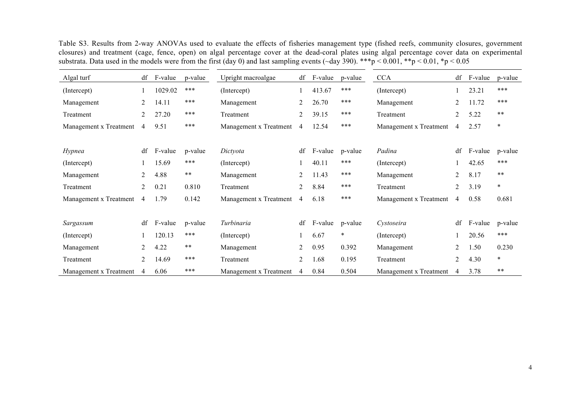Table S3. Results from 2-way ANOVAs used to evaluate the effects of fisheries management type (fished reefs, community closures, government closures) and treatment (cage, fence, open) on algal percentage cover at the dead-coral plates using algal percentage cover data on experimental substrata. Data used in the models were from the first (day 0) and last sampling events ( $\sim$ day 390). \*\*\*p < 0.001, \*\*p < 0.01, \*p < 0.05

| Algal turf             | df             | F-value | p-value       | Upright macroalgae     | df | F-value | p-value | <b>CCA</b>             | df             | F-value | p-value    |
|------------------------|----------------|---------|---------------|------------------------|----|---------|---------|------------------------|----------------|---------|------------|
| (Intercept)            |                | 1029.02 | ***           | (Intercept)            |    | 413.67  | ***     | (Intercept)            |                | 23.21   | ***        |
| Management             | 2              | 14.11   | ***           | Management             | 2  | 26.70   | ***     | Management             | $\overline{2}$ | 11.72   | ***        |
| Treatment              | 2              | 27.20   | ***           | Treatment              | 2  | 39.15   | ***     | Treatment              | 2              | 5.22    | $\ast\ast$ |
| Management x Treatment | 4              | 9.51    | ***           | Management x Treatment | 4  | 12.54   | ***     | Management x Treatment | 4              | 2.57    | $\ast$     |
|                        |                |         |               |                        |    |         |         |                        |                |         |            |
| Hypnea                 | df             | F-value | p-value       | Dictyota               | df | F-value | p-value | Padina                 | df             | F-value | p-value    |
| (Intercept)            |                | 15.69   | ***           | (Intercept)            |    | 40.11   | ***     | (Intercept)            |                | 42.65   | $***$      |
| Management             | 2              | 4.88    | $\ast\ast$    | Management             | 2  | 11.43   | ***     | Management             | 2              | 8.17    | $\ast\ast$ |
| Treatment              | 2              | 0.21    | 0.810         | Treatment              | 2  | 8.84    | ***     | Treatment              | 2              | 3.19    | $\ast$     |
| Management x Treatment | $\overline{4}$ | 1.79    | 0.142         | Management x Treatment | 4  | 6.18    | ***     | Management x Treatment | 4              | 0.58    | 0.681      |
|                        |                |         |               |                        |    |         |         |                        |                |         |            |
| Sargassum              | df             | F-value | p-value       | Turbinaria             | df | F-value | p-value | Cystoseira             | df             | F-value | p-value    |
| (Intercept)            |                | 120.13  | ***           | (Intercept)            |    | 6.67    | $\ast$  | (Intercept)            |                | 20.56   | $***$      |
| Management             | 2              | 4.22    | $\ast$ $\ast$ | Management             | 2  | 0.95    | 0.392   | Management             | $\overline{2}$ | 1.50    | 0.230      |
| Treatment              | 2              | 14.69   | ***           | Treatment              | 2  | 1.68    | 0.195   | Treatment              | $\overline{2}$ | 4.30    | $\ast$     |
| Management x Treatment | 4              | 6.06    | ***           | Management x Treatment | 4  | 0.84    | 0.504   | Management x Treatment | 4              | 3.78    | $***$      |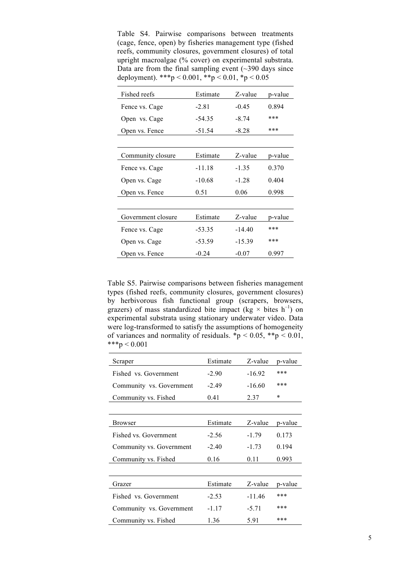Table S4. Pairwise comparisons between treatments (cage, fence, open) by fisheries management type (fished reefs, community closures, government closures) of total upright macroalgae (% cover) on experimental substrata. Data are from the final sampling event  $(\sim 390)$  days since deployment). \*\*\*p < 0.001, \*\*p < 0.01, \*p < 0.05

| Fished reefs       | Estimate | Z-value  | p-value |
|--------------------|----------|----------|---------|
| Fence vs. Cage     | $-2.81$  | $-0.45$  | 0.894   |
| Open vs. Cage      | $-54.35$ | $-8.74$  | ***     |
| Open vs. Fence     | $-51.54$ | $-8.28$  | ***     |
|                    |          |          |         |
| Community closure  | Estimate | Z-value  | p-value |
| Fence vs. Cage     | $-11.18$ | $-1.35$  | 0.370   |
| Open vs. Cage      | $-10.68$ | $-1.28$  | 0.404   |
| Open vs. Fence     | 0.51     | 0.06     | 0.998   |
|                    |          |          |         |
| Government closure | Estimate | Z-value  | p-value |
| Fence vs. Cage     | $-53.35$ | $-14.40$ | ***     |
| Open vs. Cage      | $-53.59$ | $-15.39$ | ***     |
| Open vs. Fence     | $-0.24$  | $-0.07$  | 0.997   |

Table S5. Pairwise comparisons between fisheries management types (fished reefs, community closures, government closures) by herbivorous fish functional group (scrapers, browsers, grazers) of mass standardized bite impact (kg  $\times$  bites h<sup>-1</sup>) on experimental substrata using stationary underwater video. Data were log-transformed to satisfy the assumptions of homogeneity of variances and normality of residuals.  $\mathbf{\hat{p}}$  < 0.05,  $\mathbf{\hat{p}}$  < 0.01,  $***p < 0.001$ 

| Scraper                  | Estimate     | Z-value  | p-value |  |
|--------------------------|--------------|----------|---------|--|
| Fished vs. Government    | $-2.90$      | $-16.92$ | ***     |  |
| Community vs. Government | $-2.49$      | $-16.60$ | ***     |  |
| Community vs. Fished     | 0.41         | 2.37     | $\star$ |  |
|                          |              |          |         |  |
| <b>Browser</b>           | Estimate     | Z-value  | p-value |  |
| Fished vs. Government    | $-2.56$      | $-1.79$  | 0.173   |  |
| Community vs. Government | $-2.40$      | $-1.73$  | 0.194   |  |
| Community vs. Fished     | 0.16<br>0.11 |          | 0.993   |  |
|                          |              |          |         |  |
| Grazer                   | Estimate     | Z-value  | p-value |  |
| Fished vs. Government    | $-2.53$      | $-11.46$ | ***     |  |
| Community vs. Government | $-1.17$      | $-5.71$  | ***     |  |
| Community vs. Fished     | 5.91<br>1.36 |          | ***     |  |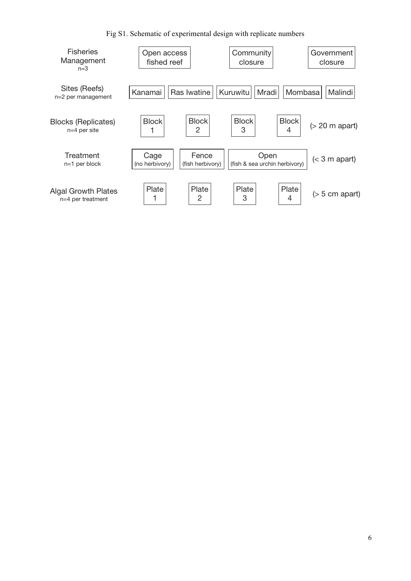Fig S1. Schematic of experimental design with replicate numbers

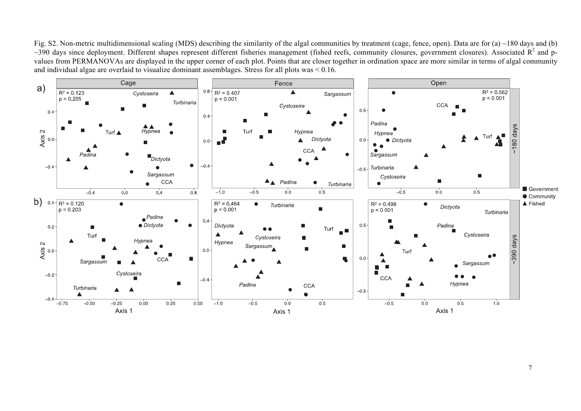Fig. S2. Non-metric multidimensional scaling (MDS) describing the similarity of the algal communities by treatment (cage, fence, open). Data are for (a) ~180 days and (b)  $\sim$ 390 days since deployment. Different shapes represent different fisheries management (fished reefs, community closures, government closures). Associated  $R^2$  and pvalues from PERMANOVAs are displayed in the upper corner of each plot. Points that are closer together in ordination space are more similar in terms of algal community and individual algae are overlaid to visualize dominant assemblages. Stress for all plots was < 0.16.